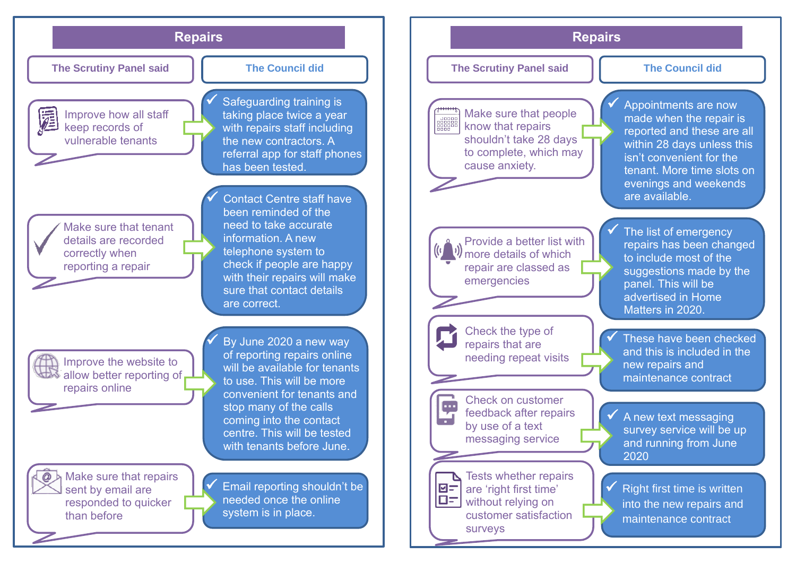